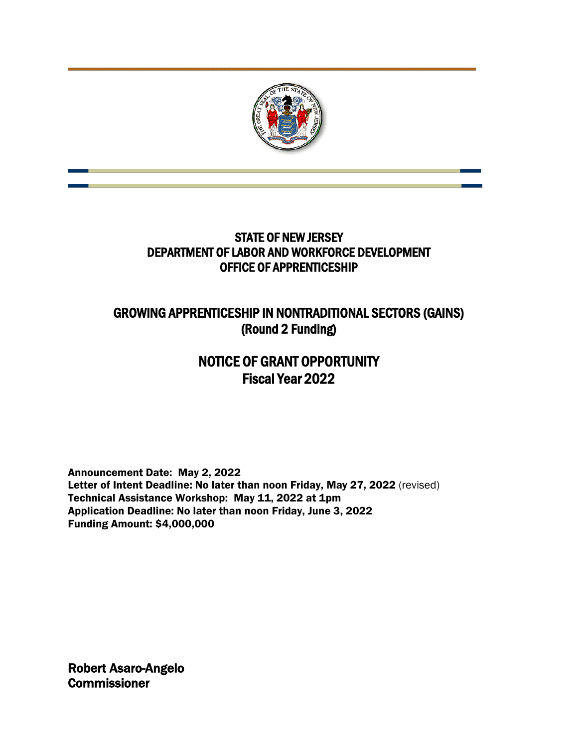

## STATE OF NEW JERSEY DEPARTMENT OF LABOR AND WORKFORCE DEVELOPMENT OFFICE OF APPRENTICESHIP

# GROWING APPRENTICESHIP IN NONTRADITIONAL SECTORS (GAINS) (Round 2 Funding)

# NOTICE OF GRANT OPPORTUNITY Fiscal Year 2022

Announcement Date: May 2, 2022 Letter of Intent Deadline: No later than noon Friday, May 27, 2022 (revised) Technical Assistance Workshop: May 11, 2022 at 1pm Application Deadline: No later than noon Friday, June 3, 2022 Funding Amount: \$4,000,000

Robert Asaro-Angelo **Commissioner**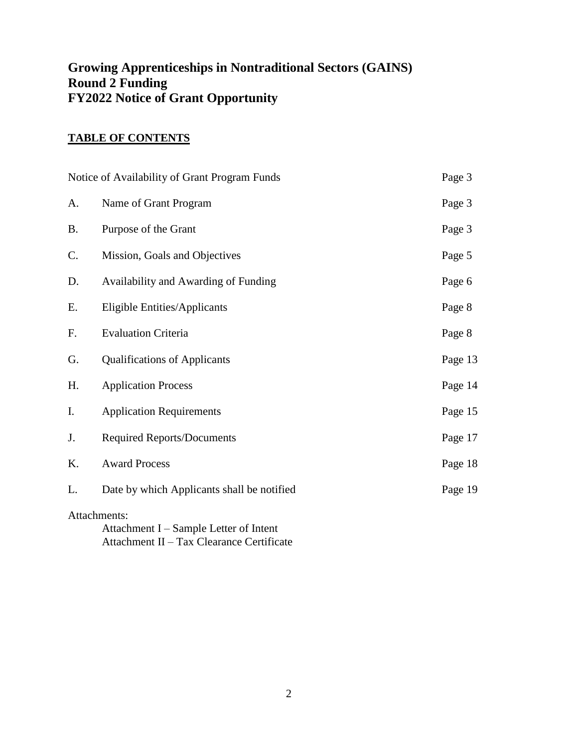## **Growing Apprenticeships in Nontraditional Sectors (GAINS) Round 2 Funding FY2022 Notice of Grant Opportunity**

## **TABLE OF CONTENTS**

|           | Notice of Availability of Grant Program Funds                                                       | Page 3  |
|-----------|-----------------------------------------------------------------------------------------------------|---------|
| A.        | Name of Grant Program                                                                               | Page 3  |
| <b>B.</b> | Purpose of the Grant                                                                                | Page 3  |
| C.        | Mission, Goals and Objectives                                                                       | Page 5  |
| D.        | Availability and Awarding of Funding                                                                | Page 6  |
| Ε.        | <b>Eligible Entities/Applicants</b>                                                                 | Page 8  |
| F.        | <b>Evaluation Criteria</b>                                                                          | Page 8  |
| G.        | <b>Qualifications of Applicants</b>                                                                 | Page 13 |
| H.        | <b>Application Process</b>                                                                          | Page 14 |
| I.        | <b>Application Requirements</b>                                                                     | Page 15 |
| J.        | <b>Required Reports/Documents</b>                                                                   | Page 17 |
| K.        | <b>Award Process</b>                                                                                | Page 18 |
| L.        | Date by which Applicants shall be notified                                                          | Page 19 |
|           | Attachments:<br>Attachment I – Sample Letter of Intent<br>Attachment II - Tax Clearance Certificate |         |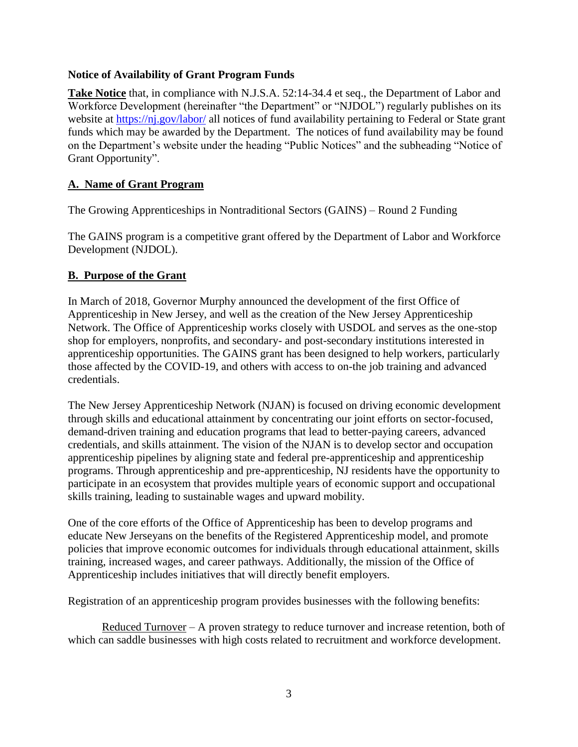#### **Notice of Availability of Grant Program Funds**

**Take Notice** that, in compliance with N.J.S.A. 52:14-34.4 et seq., the Department of Labor and Workforce Development (hereinafter "the Department" or "NJDOL") regularly publishes on its website at<https://nj.gov/labor/> all notices of fund availability pertaining to Federal or State grant funds which may be awarded by the Department. The notices of fund availability may be found on the Department's website under the heading "Public Notices" and the subheading "Notice of Grant Opportunity".

#### **A. Name of Grant Program**

The Growing Apprenticeships in Nontraditional Sectors (GAINS) – Round 2 Funding

The GAINS program is a competitive grant offered by the Department of Labor and Workforce Development (NJDOL).

#### **B. Purpose of the Grant**

In March of 2018, Governor Murphy announced the development of the first Office of Apprenticeship in New Jersey, and well as the creation of the New Jersey Apprenticeship Network. The Office of Apprenticeship works closely with USDOL and serves as the one-stop shop for employers, nonprofits, and secondary- and post-secondary institutions interested in apprenticeship opportunities. The GAINS grant has been designed to help workers, particularly those affected by the COVID-19, and others with access to on-the job training and advanced credentials.

The New Jersey Apprenticeship Network (NJAN) is focused on driving economic development through skills and educational attainment by concentrating our joint efforts on sector-focused, demand-driven training and education programs that lead to better-paying careers, advanced credentials, and skills attainment. The vision of the NJAN is to develop sector and occupation apprenticeship pipelines by aligning state and federal pre-apprenticeship and apprenticeship programs. Through apprenticeship and pre-apprenticeship, NJ residents have the opportunity to participate in an ecosystem that provides multiple years of economic support and occupational skills training, leading to sustainable wages and upward mobility.

One of the core efforts of the Office of Apprenticeship has been to develop programs and educate New Jerseyans on the benefits of the Registered Apprenticeship model, and promote policies that improve economic outcomes for individuals through educational attainment, skills training, increased wages, and career pathways. Additionally, the mission of the Office of Apprenticeship includes initiatives that will directly benefit employers.

Registration of an apprenticeship program provides businesses with the following benefits:

Reduced Turnover – A proven strategy to reduce turnover and increase retention, both of which can saddle businesses with high costs related to recruitment and workforce development.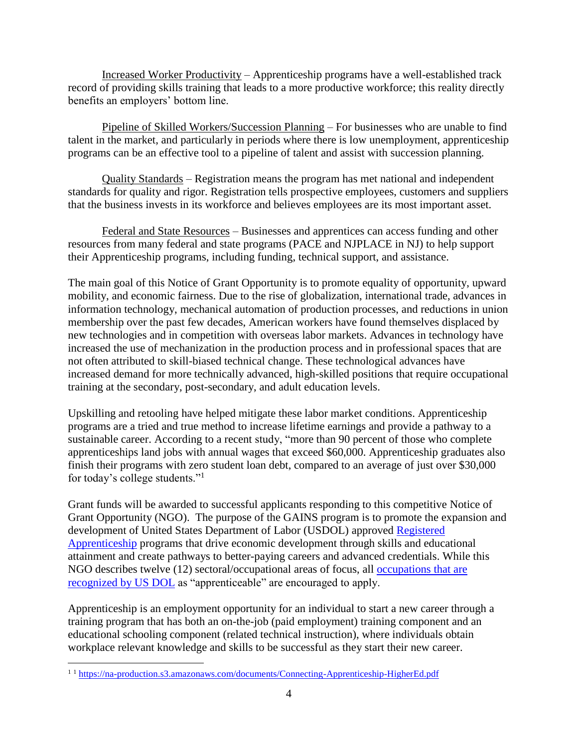Increased Worker Productivity – Apprenticeship programs have a well-established track record of providing skills training that leads to a more productive workforce; this reality directly benefits an employers' bottom line.

Pipeline of Skilled Workers/Succession Planning – For businesses who are unable to find talent in the market, and particularly in periods where there is low unemployment, apprenticeship programs can be an effective tool to a pipeline of talent and assist with succession planning.

Quality Standards – Registration means the program has met national and independent standards for quality and rigor. Registration tells prospective employees, customers and suppliers that the business invests in its workforce and believes employees are its most important asset.

Federal and State Resources – Businesses and apprentices can access funding and other resources from many federal and state programs (PACE and NJPLACE in NJ) to help support their Apprenticeship programs, including funding, technical support, and assistance.

The main goal of this Notice of Grant Opportunity is to promote equality of opportunity, upward mobility, and economic fairness. Due to the rise of globalization, international trade, advances in information technology, mechanical automation of production processes, and reductions in union membership over the past few decades, American workers have found themselves displaced by new technologies and in competition with overseas labor markets. Advances in technology have increased the use of mechanization in the production process and in professional spaces that are not often attributed to skill-biased technical change. These technological advances have increased demand for more technically advanced, high-skilled positions that require occupational training at the secondary, post-secondary, and adult education levels.

Upskilling and retooling have helped mitigate these labor market conditions. Apprenticeship programs are a tried and true method to increase lifetime earnings and provide a pathway to a sustainable career. According to a recent study, "more than 90 percent of those who complete apprenticeships land jobs with annual wages that exceed \$60,000. Apprenticeship graduates also finish their programs with zero student loan debt, compared to an average of just over \$30,000 for today's college students."<sup>1</sup>

Grant funds will be awarded to successful applicants responding to this competitive Notice of Grant Opportunity (NGO). The purpose of the GAINS program is to promote the expansion and development of United States Department of Labor (USDOL) approved [Registered](https://www.apprenticeship.gov/employers/registered-apprenticeship-program)  [Apprenticeship](https://www.apprenticeship.gov/employers/registered-apprenticeship-program) programs that drive economic development through skills and educational attainment and create pathways to better-paying careers and advanced credentials. While this NGO describes twelve (12) sectoral/occupational areas of focus, all [occupations that are](https://www.apprenticeship.gov/apprenticeship-occupations)  [recognized by US DOL](https://www.apprenticeship.gov/apprenticeship-occupations) as "apprenticeable" are encouraged to apply.

Apprenticeship is an employment opportunity for an individual to start a new career through a training program that has both an on-the-job (paid employment) training component and an educational schooling component (related technical instruction), where individuals obtain workplace relevant knowledge and skills to be successful as they start their new career.

 $\overline{a}$ <sup>1</sup> <sup>1</sup> <https://na-production.s3.amazonaws.com/documents/Connecting-Apprenticeship-HigherEd.pdf>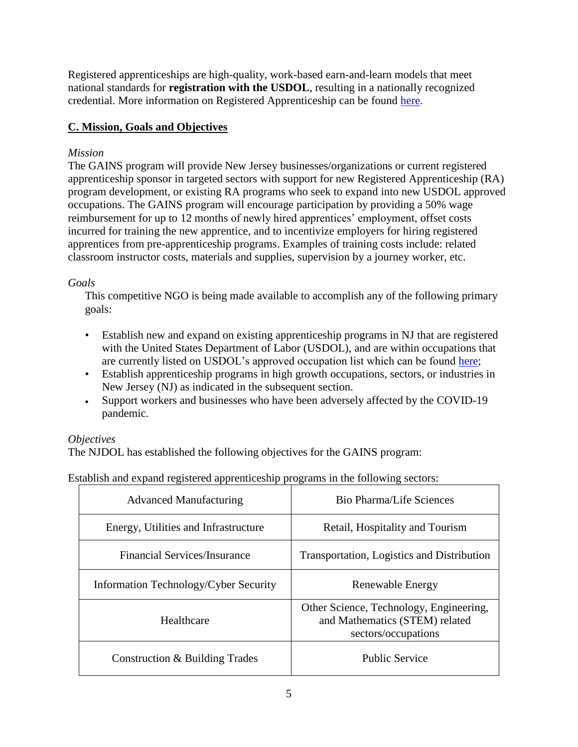Registered apprenticeships are high-quality, work-based earn-and-learn models that meet national standards for **registration with the USDOL**, resulting in a nationally recognized credential. More information on Registered Apprenticeship can be found [here.](https://www.dol.gov/featured/apprenticeship/faqs)

## **C. Mission, Goals and Objectives**

## *Mission*

The GAINS program will provide New Jersey businesses/organizations or current registered apprenticeship sponsor in targeted sectors with support for new Registered Apprenticeship (RA) program development, or existing RA programs who seek to expand into new USDOL approved occupations. The GAINS program will encourage participation by providing a 50% wage reimbursement for up to 12 months of newly hired apprentices' employment, offset costs incurred for training the new apprentice, and to incentivize employers for hiring registered apprentices from pre-apprenticeship programs. Examples of training costs include: related classroom instructor costs, materials and supplies, supervision by a journey worker, etc.

## *Goals*

This competitive NGO is being made available to accomplish any of the following primary goals:

- Establish new and expand on existing apprenticeship programs in NJ that are registered with the United States Department of Labor (USDOL), and are within occupations that are currently listed on USDOL's approved occupation list which can be found [here;](https://www.apprenticeship.gov/apprenticeship-occupations)
- Establish apprenticeship programs in high growth occupations, sectors, or industries in New Jersey (NJ) as indicated in the subsequent section.
- Support workers and businesses who have been adversely affected by the COVID-19 pandemic.

#### *Objectives*

The NJDOL has established the following objectives for the GAINS program:

Establish and expand registered apprenticeship programs in the following sectors:

| <b>Advanced Manufacturing</b>         | <b>Bio Pharma/Life Sciences</b>                                                                  |
|---------------------------------------|--------------------------------------------------------------------------------------------------|
| Energy, Utilities and Infrastructure  | Retail, Hospitality and Tourism                                                                  |
| Financial Services/Insurance          | Transportation, Logistics and Distribution                                                       |
| Information Technology/Cyber Security | Renewable Energy                                                                                 |
| Healthcare                            | Other Science, Technology, Engineering,<br>and Mathematics (STEM) related<br>sectors/occupations |
| Construction & Building Trades        | <b>Public Service</b>                                                                            |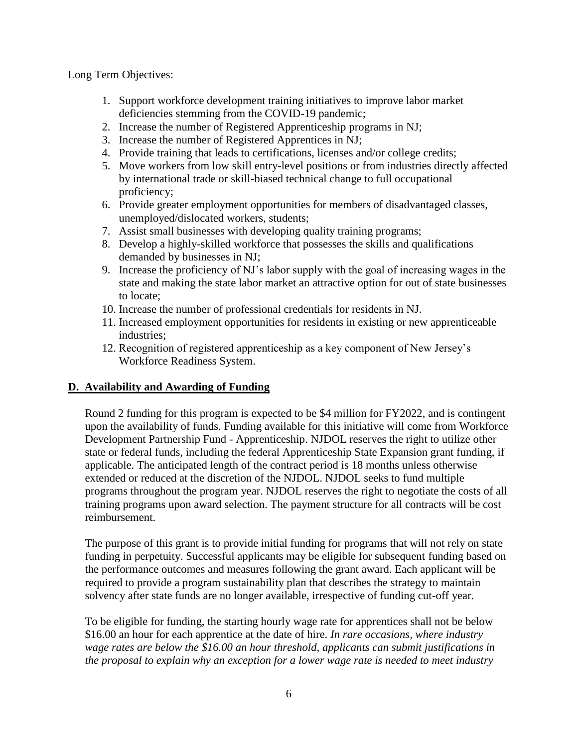Long Term Objectives:

- 1. Support workforce development training initiatives to improve labor market deficiencies stemming from the COVID-19 pandemic;
- 2. Increase the number of Registered Apprenticeship programs in NJ;
- 3. Increase the number of Registered Apprentices in NJ;
- 4. Provide training that leads to certifications, licenses and/or college credits;
- 5. Move workers from low skill entry-level positions or from industries directly affected by international trade or skill-biased technical change to full occupational proficiency;
- 6. Provide greater employment opportunities for members of disadvantaged classes, unemployed/dislocated workers, students;
- 7. Assist small businesses with developing quality training programs;
- 8. Develop a highly-skilled workforce that possesses the skills and qualifications demanded by businesses in NJ;
- 9. Increase the proficiency of NJ's labor supply with the goal of increasing wages in the state and making the state labor market an attractive option for out of state businesses to locate;
- 10. Increase the number of professional credentials for residents in NJ.
- 11. Increased employment opportunities for residents in existing or new apprenticeable industries;
- 12. Recognition of registered apprenticeship as a key component of New Jersey's Workforce Readiness System.

## **D. Availability and Awarding of Funding**

Round 2 funding for this program is expected to be \$4 million for FY2022, and is contingent upon the availability of funds. Funding available for this initiative will come from Workforce Development Partnership Fund - Apprenticeship. NJDOL reserves the right to utilize other state or federal funds, including the federal Apprenticeship State Expansion grant funding, if applicable. The anticipated length of the contract period is 18 months unless otherwise extended or reduced at the discretion of the NJDOL. NJDOL seeks to fund multiple programs throughout the program year. NJDOL reserves the right to negotiate the costs of all training programs upon award selection. The payment structure for all contracts will be cost reimbursement.

The purpose of this grant is to provide initial funding for programs that will not rely on state funding in perpetuity. Successful applicants may be eligible for subsequent funding based on the performance outcomes and measures following the grant award. Each applicant will be required to provide a program sustainability plan that describes the strategy to maintain solvency after state funds are no longer available, irrespective of funding cut-off year.

To be eligible for funding, the starting hourly wage rate for apprentices shall not be below \$16.00 an hour for each apprentice at the date of hire. *In rare occasions, where industry wage rates are below the \$16.00 an hour threshold, applicants can submit justifications in the proposal to explain why an exception for a lower wage rate is needed to meet industry*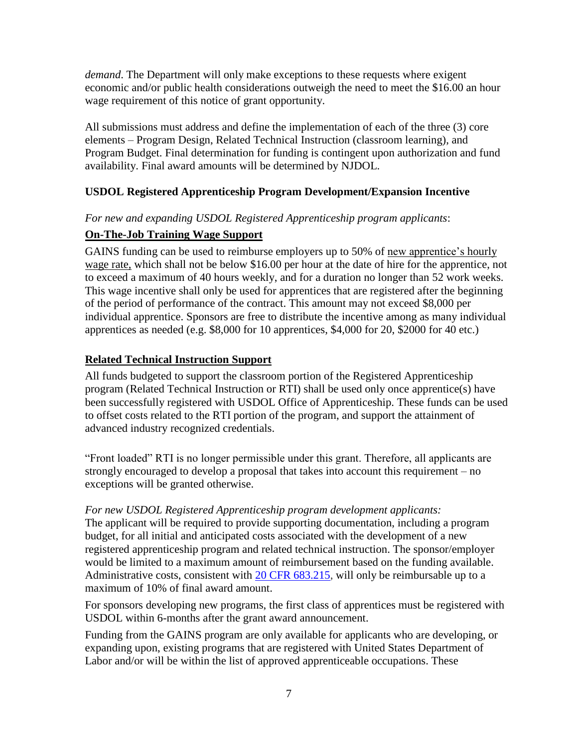*demand*. The Department will only make exceptions to these requests where exigent economic and/or public health considerations outweigh the need to meet the \$16.00 an hour wage requirement of this notice of grant opportunity.

All submissions must address and define the implementation of each of the three (3) core elements – Program Design, Related Technical Instruction (classroom learning), and Program Budget. Final determination for funding is contingent upon authorization and fund availability. Final award amounts will be determined by NJDOL.

## **USDOL Registered Apprenticeship Program Development/Expansion Incentive**

#### *For new and expanding USDOL Registered Apprenticeship program applicants*:

## **On-The-Job Training Wage Support**

GAINS funding can be used to reimburse employers up to 50% of new apprentice's hourly wage rate, which shall not be below \$16.00 per hour at the date of hire for the apprentice, not to exceed a maximum of 40 hours weekly, and for a duration no longer than 52 work weeks. This wage incentive shall only be used for apprentices that are registered after the beginning of the period of performance of the contract. This amount may not exceed \$8,000 per individual apprentice. Sponsors are free to distribute the incentive among as many individual apprentices as needed (e.g. \$8,000 for 10 apprentices, \$4,000 for 20, \$2000 for 40 etc.)

## **Related Technical Instruction Support**

All funds budgeted to support the classroom portion of the Registered Apprenticeship program (Related Technical Instruction or RTI) shall be used only once apprentice(s) have been successfully registered with USDOL Office of Apprenticeship. These funds can be used to offset costs related to the RTI portion of the program, and support the attainment of advanced industry recognized credentials.

"Front loaded" RTI is no longer permissible under this grant. Therefore, all applicants are strongly encouraged to develop a proposal that takes into account this requirement – no exceptions will be granted otherwise.

#### *For new USDOL Registered Apprenticeship program development applicants:*

The applicant will be required to provide supporting documentation, including a program budget, for all initial and anticipated costs associated with the development of a new registered apprenticeship program and related technical instruction. The sponsor/employer would be limited to a maximum amount of reimbursement based on the funding available. Administrative costs, consistent with [20 CFR 683.215,](https://www.law.cornell.edu/cfr/text/20/683.215) will only be reimbursable up to a maximum of 10% of final award amount.

For sponsors developing new programs, the first class of apprentices must be registered with USDOL within 6-months after the grant award announcement.

Funding from the GAINS program are only available for applicants who are developing, or expanding upon, existing programs that are registered with United States Department of Labor and/or will be within the list of approved apprenticeable occupations. These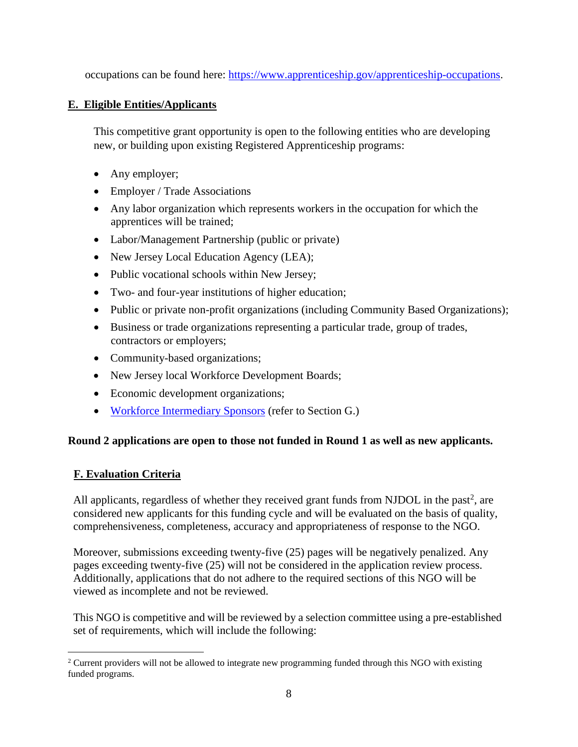occupations can be found here: [https://www.apprenticeship.gov/apprenticeship-occupations.](https://www.apprenticeship.gov/apprenticeship-occupations)

## **E. Eligible Entities/Applicants**

This competitive grant opportunity is open to the following entities who are developing new, or building upon existing Registered Apprenticeship programs:

- Any employer;
- Employer / Trade Associations
- Any labor organization which represents workers in the occupation for which the apprentices will be trained;
- Labor/Management Partnership (public or private)
- New Jersey Local Education Agency (LEA);
- Public vocational schools within New Jersey;
- Two- and four-year institutions of higher education;
- Public or private non-profit organizations (including Community Based Organizations);
- Business or trade organizations representing a particular trade, group of trades, contractors or employers;
- Community-based organizations;
- New Jersey local Workforce Development Boards;
- Economic development organizations;
- [Workforce Intermediary Sponsors](https://www.doleta.gov/oa/bul16/Bulletin_2016-26.pdf) (refer to Section G.)

#### **Round 2 applications are open to those not funded in Round 1 as well as new applicants.**

## **F. Evaluation Criteria**

 $\overline{a}$ 

All applicants, regardless of whether they received grant funds from NJDOL in the past<sup>2</sup>, are considered new applicants for this funding cycle and will be evaluated on the basis of quality, comprehensiveness, completeness, accuracy and appropriateness of response to the NGO.

Moreover, submissions exceeding twenty-five (25) pages will be negatively penalized. Any pages exceeding twenty-five (25) will not be considered in the application review process. Additionally, applications that do not adhere to the required sections of this NGO will be viewed as incomplete and not be reviewed.

This NGO is competitive and will be reviewed by a selection committee using a pre-established set of requirements, which will include the following:

<sup>&</sup>lt;sup>2</sup> Current providers will not be allowed to integrate new programming funded through this NGO with existing funded programs.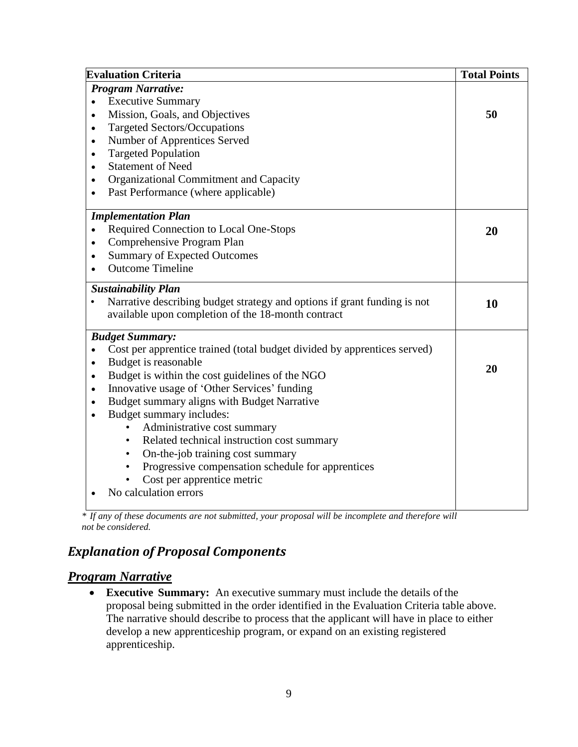| <b>Evaluation Criteria</b>                                                                                                                                                                                                                                                                                                                                                             | <b>Total Points</b> |
|----------------------------------------------------------------------------------------------------------------------------------------------------------------------------------------------------------------------------------------------------------------------------------------------------------------------------------------------------------------------------------------|---------------------|
| <b>Program Narrative:</b><br><b>Executive Summary</b><br>$\bullet$<br>Mission, Goals, and Objectives<br>$\bullet$<br><b>Targeted Sectors/Occupations</b><br>$\bullet$<br>Number of Apprentices Served<br>$\bullet$<br><b>Targeted Population</b><br>$\bullet$<br><b>Statement of Need</b><br>$\bullet$                                                                                 | 50                  |
| Organizational Commitment and Capacity<br>$\bullet$<br>Past Performance (where applicable)<br>$\bullet$                                                                                                                                                                                                                                                                                |                     |
| <b>Implementation Plan</b><br>Required Connection to Local One-Stops<br>$\bullet$<br>Comprehensive Program Plan<br>$\bullet$<br><b>Summary of Expected Outcomes</b><br>$\bullet$<br><b>Outcome Timeline</b>                                                                                                                                                                            | 20                  |
| <b>Sustainability Plan</b><br>Narrative describing budget strategy and options if grant funding is not<br>available upon completion of the 18-month contract                                                                                                                                                                                                                           | 10                  |
| <b>Budget Summary:</b><br>Cost per apprentice trained (total budget divided by apprentices served)<br>$\bullet$<br>Budget is reasonable<br>$\bullet$<br>Budget is within the cost guidelines of the NGO<br>$\bullet$<br>Innovative usage of 'Other Services' funding<br>$\bullet$<br>Budget summary aligns with Budget Narrative<br>$\bullet$<br>Budget summary includes:<br>$\bullet$ | 20                  |
| Administrative cost summary<br>Related technical instruction cost summary<br>$\bullet$<br>On-the-job training cost summary<br>$\bullet$<br>Progressive compensation schedule for apprentices<br>Cost per apprentice metric<br>No calculation errors                                                                                                                                    |                     |

*<sup>\*</sup> If any of these documents are not submitted, your proposal will be incomplete and therefore will not be considered.*

## *Explanation of Proposal Components*

## *Program Narrative*

• **Executive Summary:** An executive summary must include the details of the proposal being submitted in the order identified in the Evaluation Criteria table above. The narrative should describe to process that the applicant will have in place to either develop a new apprenticeship program, or expand on an existing registered apprenticeship.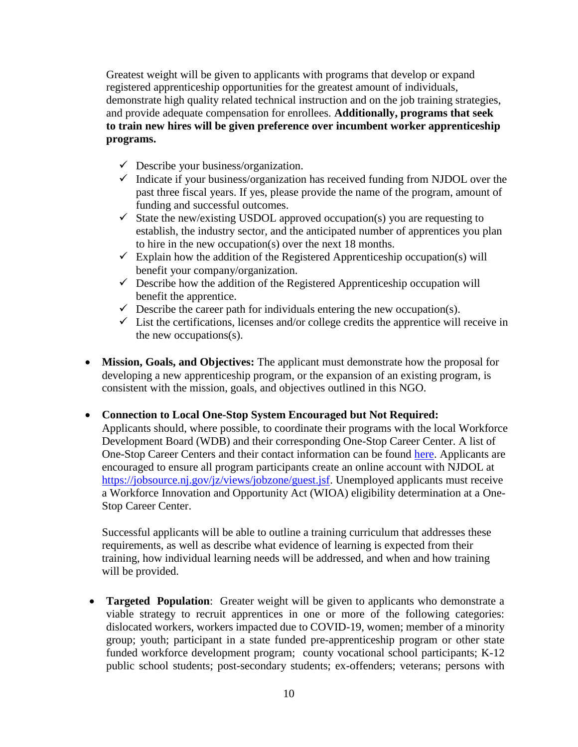Greatest weight will be given to applicants with programs that develop or expand registered apprenticeship opportunities for the greatest amount of individuals, demonstrate high quality related technical instruction and on the job training strategies, and provide adequate compensation for enrollees. **Additionally, programs that seek to train new hires will be given preference over incumbent worker apprenticeship programs.**

- $\checkmark$  Describe your business/organization.
- $\checkmark$  Indicate if your business/organization has received funding from NJDOL over the past three fiscal years. If yes, please provide the name of the program, amount of funding and successful outcomes.
- $\checkmark$  State the new/existing USDOL approved occupation(s) you are requesting to establish, the industry sector, and the anticipated number of apprentices you plan to hire in the new occupation(s) over the next 18 months.
- $\checkmark$  Explain how the addition of the Registered Apprenticeship occupation(s) will benefit your company/organization.
- $\checkmark$  Describe how the addition of the Registered Apprenticeship occupation will benefit the apprentice.
- $\checkmark$  Describe the career path for individuals entering the new occupation(s).
- $\checkmark$  List the certifications, licenses and/or college credits the apprentice will receive in the new occupations(s).
- **Mission, Goals, and Objectives:** The applicant must demonstrate how the proposal for developing a new apprenticeship program, or the expansion of an existing program, is consistent with the mission, goals, and objectives outlined in this NGO.

• **Connection to Local One-Stop System Encouraged but Not Required:**

Applicants should, where possible, to coordinate their programs with the local Workforce Development Board (WDB) and their corresponding One-Stop Career Center. A list of One-Stop Career Centers and their contact information can be found [here.](https://careerconnections.nj.gov/careerconnections/plan/support/njccsites/one_stop_career_centers.shtml) Applicants are encouraged to ensure all program participants create an online account with NJDOL at [https://jobsource.nj.gov/jz/views/jobzone/guest.jsf.](https://jobsource.nj.gov/jz/views/jobzone/guest.jsf) Unemployed applicants must receive a Workforce Innovation and Opportunity Act (WIOA) eligibility determination at a One-Stop Career Center.

Successful applicants will be able to outline a training curriculum that addresses these requirements, as well as describe what evidence of learning is expected from their training, how individual learning needs will be addressed, and when and how training will be provided.

• **Targeted Population**: Greater weight will be given to applicants who demonstrate a viable strategy to recruit apprentices in one or more of the following categories: dislocated workers, workers impacted due to COVID-19, women; member of a minority group; youth; participant in a state funded pre-apprenticeship program or other state funded workforce development program; county vocational school participants; K-12 public school students; post-secondary students; ex-offenders; veterans; persons with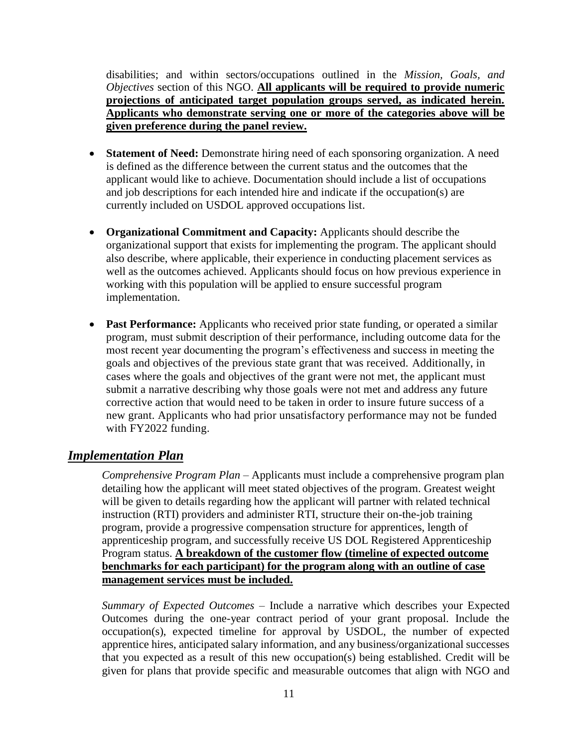disabilities; and within sectors/occupations outlined in the *Mission, Goals, and Objectives* section of this NGO. **All applicants will be required to provide numeric projections of anticipated target population groups served, as indicated herein. Applicants who demonstrate serving one or more of the categories above will be given preference during the panel review.**

- **Statement of Need:** Demonstrate hiring need of each sponsoring organization. A need is defined as the difference between the current status and the outcomes that the applicant would like to achieve. Documentation should include a list of occupations and job descriptions for each intended hire and indicate if the occupation(s) are currently included on USDOL approved occupations list.
- **Organizational Commitment and Capacity:** Applicants should describe the organizational support that exists for implementing the program. The applicant should also describe, where applicable, their experience in conducting placement services as well as the outcomes achieved. Applicants should focus on how previous experience in working with this population will be applied to ensure successful program implementation.
- **Past Performance:** Applicants who received prior state funding, or operated a similar program, must submit description of their performance, including outcome data for the most recent year documenting the program's effectiveness and success in meeting the goals and objectives of the previous state grant that was received. Additionally, in cases where the goals and objectives of the grant were not met, the applicant must submit a narrative describing why those goals were not met and address any future corrective action that would need to be taken in order to insure future success of a new grant. Applicants who had prior unsatisfactory performance may not be funded with FY2022 funding.

## *Implementation Plan*

*Comprehensive Program Plan* – Applicants must include a comprehensive program plan detailing how the applicant will meet stated objectives of the program. Greatest weight will be given to details regarding how the applicant will partner with related technical instruction (RTI) providers and administer RTI, structure their on-the-job training program, provide a progressive compensation structure for apprentices, length of apprenticeship program, and successfully receive US DOL Registered Apprenticeship Program status. **A breakdown of the customer flow (timeline of expected outcome benchmarks for each participant) for the program along with an outline of case management services must be included.**

*Summary of Expected Outcomes* – Include a narrative which describes your Expected Outcomes during the one-year contract period of your grant proposal. Include the occupation(s), expected timeline for approval by USDOL, the number of expected apprentice hires, anticipated salary information, and any business/organizational successes that you expected as a result of this new occupation(s) being established. Credit will be given for plans that provide specific and measurable outcomes that align with NGO and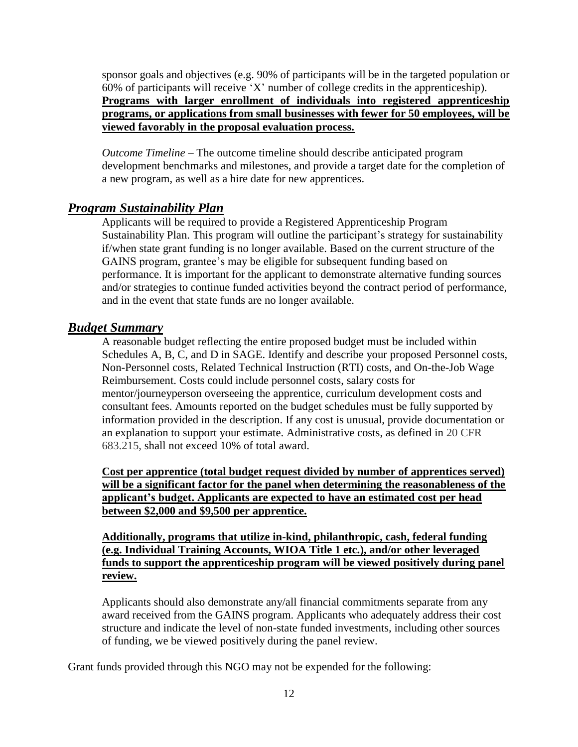sponsor goals and objectives (e.g. 90% of participants will be in the targeted population or 60% of participants will receive 'X' number of college credits in the apprenticeship). **Programs with larger enrollment of individuals into registered apprenticeship programs, or applications from small businesses with fewer for 50 employees, will be viewed favorably in the proposal evaluation process.**

*Outcome Timeline –* The outcome timeline should describe anticipated program development benchmarks and milestones, and provide a target date for the completion of a new program, as well as a hire date for new apprentices.

## *Program Sustainability Plan*

Applicants will be required to provide a Registered Apprenticeship Program Sustainability Plan. This program will outline the participant's strategy for sustainability if/when state grant funding is no longer available. Based on the current structure of the GAINS program, grantee's may be eligible for subsequent funding based on performance. It is important for the applicant to demonstrate alternative funding sources and/or strategies to continue funded activities beyond the contract period of performance, and in the event that state funds are no longer available.

#### *Budget Summary*

A reasonable budget reflecting the entire proposed budget must be included within Schedules A, B, C, and D in SAGE. Identify and describe your proposed Personnel costs, Non-Personnel costs, Related Technical Instruction (RTI) costs, and On-the-Job Wage Reimbursement. Costs could include personnel costs, salary costs for mentor/journeyperson overseeing the apprentice, curriculum development costs and consultant fees. Amounts reported on the budget schedules must be fully supported by information provided in the description. If any cost is unusual, provide documentation or an explanation to support your estimate. Administrative costs, as defined in 20 CFR 683.215, shall not exceed 10% of total award.

**Cost per apprentice (total budget request divided by number of apprentices served) will be a significant factor for the panel when determining the reasonableness of the applicant's budget. Applicants are expected to have an estimated cost per head between \$2,000 and \$9,500 per apprentice.**

**Additionally, programs that utilize in-kind, philanthropic, cash, federal funding (e.g. Individual Training Accounts, WIOA Title 1 etc.), and/or other leveraged funds to support the apprenticeship program will be viewed positively during panel review.**

Applicants should also demonstrate any/all financial commitments separate from any award received from the GAINS program. Applicants who adequately address their cost structure and indicate the level of non-state funded investments, including other sources of funding, we be viewed positively during the panel review.

Grant funds provided through this NGO may not be expended for the following: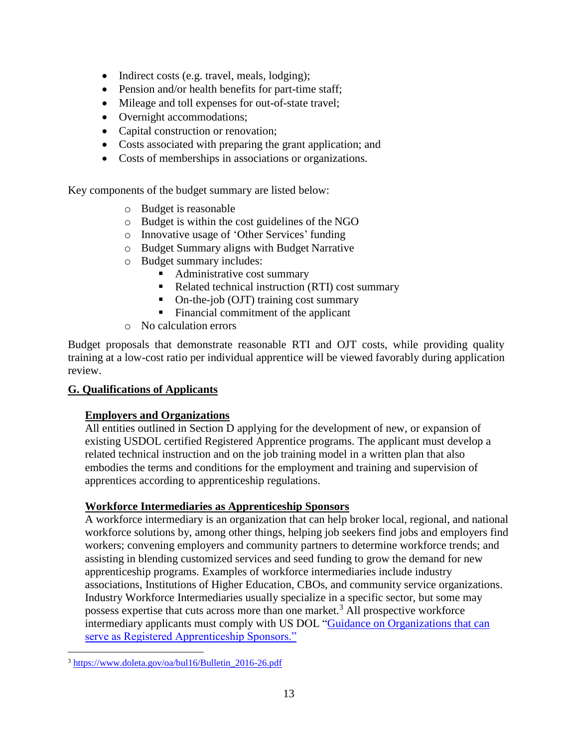- Indirect costs (e.g. travel, meals, lodging);
- Pension and/or health benefits for part-time staff;
- Mileage and toll expenses for out-of-state travel;
- Overnight accommodations;
- Capital construction or renovation;
- Costs associated with preparing the grant application; and
- Costs of memberships in associations or organizations.

Key components of the budget summary are listed below:

- o Budget is reasonable
- o Budget is within the cost guidelines of the NGO
- o Innovative usage of 'Other Services' funding
- o Budget Summary aligns with Budget Narrative
- o Budget summary includes:
	- Administrative cost summary
	- Related technical instruction (RTI) cost summary
	- On-the-job (OJT) training cost summary
	- Financial commitment of the applicant
- o No calculation errors

Budget proposals that demonstrate reasonable RTI and OJT costs, while providing quality training at a low-cost ratio per individual apprentice will be viewed favorably during application review.

## **G. Qualifications of Applicants**

#### **Employers and Organizations**

All entities outlined in Section D applying for the development of new, or expansion of existing USDOL certified Registered Apprentice programs. The applicant must develop a related technical instruction and on the job training model in a written plan that also embodies the terms and conditions for the employment and training and supervision of apprentices according to apprenticeship regulations.

#### **Workforce Intermediaries as Apprenticeship Sponsors**

A workforce intermediary is an organization that can help broker local, regional, and national workforce solutions by, among other things, helping job seekers find jobs and employers find workers; convening employers and community partners to determine workforce trends; and assisting in blending customized services and seed funding to grow the demand for new apprenticeship programs. Examples of workforce intermediaries include industry associations, Institutions of Higher Education, CBOs, and community service organizations. Industry Workforce Intermediaries usually specialize in a specific sector, but some may possess expertise that cuts across more than one market.<sup>3</sup> All prospective workforce intermediary applicants must comply with US DOL ["Guidance on Organizations that can](https://www.doleta.gov/oa/bul16/Bulletin_2016-26.pdf)  [serve as Registered Apprenticeship Sponsors."](https://www.doleta.gov/oa/bul16/Bulletin_2016-26.pdf)

 $\overline{a}$ <sup>3</sup> [https://www.doleta.gov/oa/bul16/Bulletin\\_2016-26.pdf](https://www.doleta.gov/oa/bul16/Bulletin_2016-26.pdf)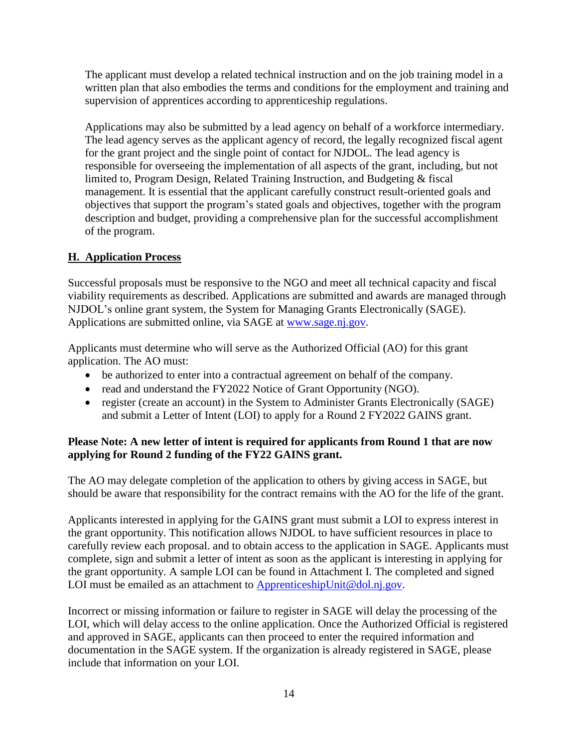The applicant must develop a related technical instruction and on the job training model in a written plan that also embodies the terms and conditions for the employment and training and supervision of apprentices according to apprenticeship regulations.

Applications may also be submitted by a lead agency on behalf of a workforce intermediary. The lead agency serves as the applicant agency of record, the legally recognized fiscal agent for the grant project and the single point of contact for NJDOL. The lead agency is responsible for overseeing the implementation of all aspects of the grant, including, but not limited to, Program Design, Related Training Instruction, and Budgeting & fiscal management. It is essential that the applicant carefully construct result-oriented goals and objectives that support the program's stated goals and objectives, together with the program description and budget, providing a comprehensive plan for the successful accomplishment of the program.

## **H. Application Process**

Successful proposals must be responsive to the NGO and meet all technical capacity and fiscal viability requirements as described. Applications are submitted and awards are managed through NJDOL's online grant system, the System for Managing Grants Electronically (SAGE). Applications are submitted online, via SAGE at [www.sage.nj.gov.](http://www.sage.nj.gov/)

Applicants must determine who will serve as the Authorized Official (AO) for this grant application. The AO must:

- be authorized to enter into a contractual agreement on behalf of the company.
- read and understand the FY2022 Notice of Grant Opportunity (NGO).
- register (create an account) in the System to Administer Grants Electronically (SAGE) and submit a Letter of Intent (LOI) to apply for a Round 2 FY2022 GAINS grant.

#### **Please Note: A new letter of intent is required for applicants from Round 1 that are now applying for Round 2 funding of the FY22 GAINS grant.**

The AO may delegate completion of the application to others by giving access in SAGE, but should be aware that responsibility for the contract remains with the AO for the life of the grant.

Applicants interested in applying for the GAINS grant must submit a LOI to express interest in the grant opportunity. This notification allows NJDOL to have sufficient resources in place to carefully review each proposal. and to obtain access to the application in SAGE. Applicants must complete, sign and submit a letter of intent as soon as the applicant is interesting in applying for the grant opportunity. A sample LOI can be found in Attachment I. The completed and signed LOI must be emailed as an attachment to [ApprenticeshipUnit@dol.nj.gov.](mailto:ApprenticeshipUnit@dol.nj.gov)

Incorrect or missing information or failure to register in SAGE will delay the processing of the LOI, which will delay access to the online application. Once the Authorized Official is registered and approved in SAGE, applicants can then proceed to enter the required information and documentation in the SAGE system. If the organization is already registered in SAGE, please include that information on your LOI.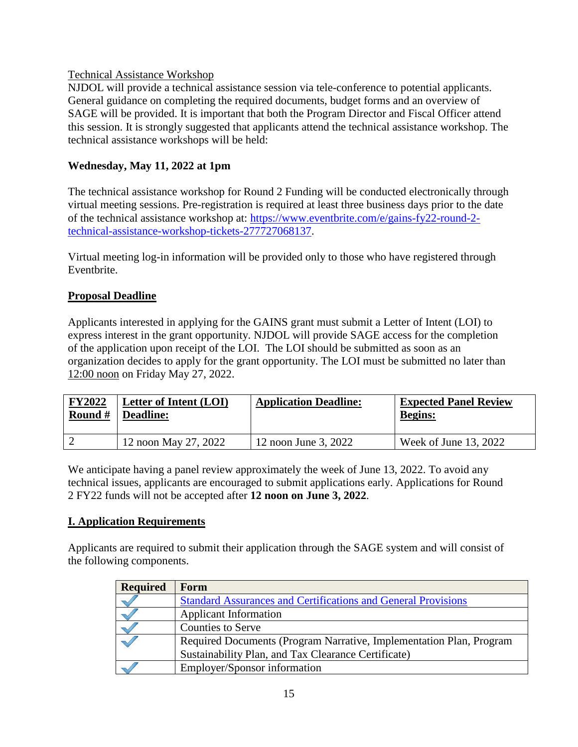#### Technical Assistance Workshop

NJDOL will provide a technical assistance session via tele-conference to potential applicants. General guidance on completing the required documents, budget forms and an overview of SAGE will be provided. It is important that both the Program Director and Fiscal Officer attend this session. It is strongly suggested that applicants attend the technical assistance workshop. The technical assistance workshops will be held:

## **Wednesday, May 11, 2022 at 1pm**

The technical assistance workshop for Round 2 Funding will be conducted electronically through virtual meeting sessions. Pre-registration is required at least three business days prior to the date of the technical assistance workshop at: [https://www.eventbrite.com/e/gains-fy22-round-2](https://www.eventbrite.com/e/gains-fy22-round-2-technical-assistance-workshop-tickets-277727068137) [technical-assistance-workshop-tickets-277727068137.](https://www.eventbrite.com/e/gains-fy22-round-2-technical-assistance-workshop-tickets-277727068137)

Virtual meeting log-in information will be provided only to those who have registered through Eventbrite.

## **Proposal Deadline**

Applicants interested in applying for the GAINS grant must submit a Letter of Intent (LOI) to express interest in the grant opportunity. NJDOL will provide SAGE access for the completion of the application upon receipt of the LOI. The LOI should be submitted as soon as an organization decides to apply for the grant opportunity. The LOI must be submitted no later than 12:00 noon on Friday May 27, 2022.

| <b>FY2022</b> | Letter of Intent (LOI) | <b>Application Deadline:</b> | <b>Expected Panel Review</b> |
|---------------|------------------------|------------------------------|------------------------------|
| Round $#$     | <b>Deadline:</b>       |                              | <b>Begins:</b>               |
|               | 12 noon May 27, 2022   | 12 noon June 3, 2022         | Week of June $13, 2022$      |

We anticipate having a panel review approximately the week of June 13, 2022. To avoid any technical issues, applicants are encouraged to submit applications early. Applications for Round 2 FY22 funds will not be accepted after **12 noon on June 3, 2022**.

#### **I. Application Requirements**

Applicants are required to submit their application through the SAGE system and will consist of the following components.

| <b>Required</b> | Form                                                                 |
|-----------------|----------------------------------------------------------------------|
|                 | <b>Standard Assurances and Certifications and General Provisions</b> |
|                 | <b>Applicant Information</b>                                         |
|                 | <b>Counties to Serve</b>                                             |
|                 | Required Documents (Program Narrative, Implementation Plan, Program  |
|                 | Sustainability Plan, and Tax Clearance Certificate)                  |
|                 | Employer/Sponsor information                                         |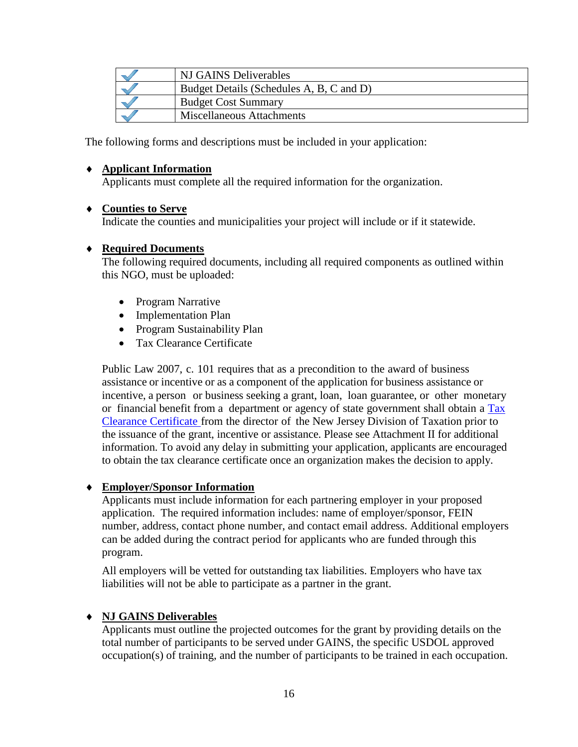| NJ GAINS Deliverables                    |
|------------------------------------------|
| Budget Details (Schedules A, B, C and D) |
| <b>Budget Cost Summary</b>               |
| Miscellaneous Attachments                |

The following forms and descriptions must be included in your application:

#### **Applicant Information**

Applicants must complete all the required information for the organization.

#### **Counties to Serve**

Indicate the counties and municipalities your project will include or if it statewide.

#### **Required Documents**

The following required documents, including all required components as outlined within this NGO, must be uploaded:

- Program Narrative
- Implementation Plan
- Program Sustainability Plan
- Tax Clearance Certificate

Public Law 2007, c. 101 requires that as a precondition to the award of business assistance or incentive or as a component of the application for business assistance or incentive, a person or business seeking a grant, loan, loan guarantee, or other monetary or financial benefit from a department or agency of state government shall obtain a [Tax](http://www.state.nj.us/treasury/taxation/busasst.shtml) Clearance [Certificate](http://www.state.nj.us/treasury/taxation/busasst.shtml) from the director of the New Jersey Division of Taxation prior to the issuance of the grant, incentive or assistance. Please see Attachment II for additional information. To avoid any delay in submitting your application, applicants are encouraged to obtain the tax clearance certificate once an organization makes the decision to apply.

#### **Employer/Sponsor Information**

Applicants must include information for each partnering employer in your proposed application. The required information includes: name of employer/sponsor, FEIN number, address, contact phone number, and contact email address. Additional employers can be added during the contract period for applicants who are funded through this program.

All employers will be vetted for outstanding tax liabilities. Employers who have tax liabilities will not be able to participate as a partner in the grant.

#### **NJ GAINS Deliverables**

Applicants must outline the projected outcomes for the grant by providing details on the total number of participants to be served under GAINS, the specific USDOL approved occupation(s) of training, and the number of participants to be trained in each occupation.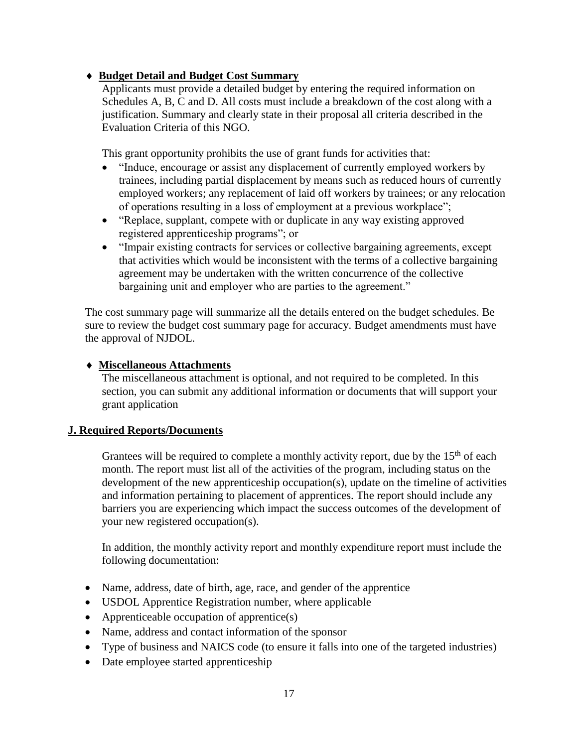## **Budget Detail and Budget Cost Summary**

Applicants must provide a detailed budget by entering the required information on Schedules A, B, C and D. All costs must include a breakdown of the cost along with a justification. Summary and clearly state in their proposal all criteria described in the Evaluation Criteria of this NGO.

This grant opportunity prohibits the use of grant funds for activities that:

- "Induce, encourage or assist any displacement of currently employed workers by trainees, including partial displacement by means such as reduced hours of currently employed workers; any replacement of laid off workers by trainees; or any relocation of operations resulting in a loss of employment at a previous workplace";
- "Replace, supplant, compete with or duplicate in any way existing approved registered apprenticeship programs"; or
- "Impair existing contracts for services or collective bargaining agreements, except that activities which would be inconsistent with the terms of a collective bargaining agreement may be undertaken with the written concurrence of the collective bargaining unit and employer who are parties to the agreement."

The cost summary page will summarize all the details entered on the budget schedules. Be sure to review the budget cost summary page for accuracy. Budget amendments must have the approval of NJDOL.

#### **Miscellaneous Attachments**

The miscellaneous attachment is optional, and not required to be completed. In this section, you can submit any additional information or documents that will support your grant application

#### **J. Required Reports/Documents**

Grantees will be required to complete a monthly activity report, due by the  $15<sup>th</sup>$  of each month. The report must list all of the activities of the program, including status on the development of the new apprenticeship occupation(s), update on the timeline of activities and information pertaining to placement of apprentices. The report should include any barriers you are experiencing which impact the success outcomes of the development of your new registered occupation(s).

In addition, the monthly activity report and monthly expenditure report must include the following documentation:

- Name, address, date of birth, age, race, and gender of the apprentice
- USDOL Apprentice Registration number, where applicable
- Apprenticeable occupation of apprentice(s)
- Name, address and contact information of the sponsor
- Type of business and NAICS code (to ensure it falls into one of the targeted industries)
- Date employee started apprenticeship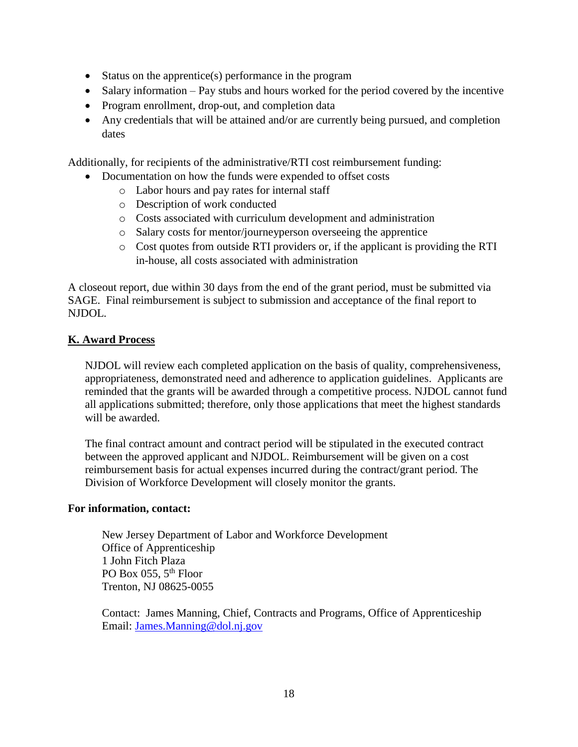- Status on the apprentice(s) performance in the program
- Salary information Pay stubs and hours worked for the period covered by the incentive
- Program enrollment, drop-out, and completion data
- Any credentials that will be attained and/or are currently being pursued, and completion dates

Additionally, for recipients of the administrative/RTI cost reimbursement funding:

- Documentation on how the funds were expended to offset costs
	- o Labor hours and pay rates for internal staff
	- o Description of work conducted
	- o Costs associated with curriculum development and administration
	- o Salary costs for mentor/journeyperson overseeing the apprentice
	- o Cost quotes from outside RTI providers or, if the applicant is providing the RTI in-house, all costs associated with administration

A closeout report, due within 30 days from the end of the grant period, must be submitted via SAGE. Final reimbursement is subject to submission and acceptance of the final report to NJDOL.

#### **K. Award Process**

NJDOL will review each completed application on the basis of quality, comprehensiveness, appropriateness, demonstrated need and adherence to application guidelines. Applicants are reminded that the grants will be awarded through a competitive process. NJDOL cannot fund all applications submitted; therefore, only those applications that meet the highest standards will be awarded.

The final contract amount and contract period will be stipulated in the executed contract between the approved applicant and NJDOL. Reimbursement will be given on a cost reimbursement basis for actual expenses incurred during the contract/grant period. The Division of Workforce Development will closely monitor the grants.

#### **For information, contact:**

New Jersey Department of Labor and Workforce Development Office of Apprenticeship 1 John Fitch Plaza PO Box 055, 5<sup>th</sup> Floor Trenton, NJ 08625-0055

 Contact: James Manning, Chief, Contracts and Programs, Office of Apprenticeship Email: [James.Manning@dol.nj.gov](mailto:James.Manning@dol.nj.gov)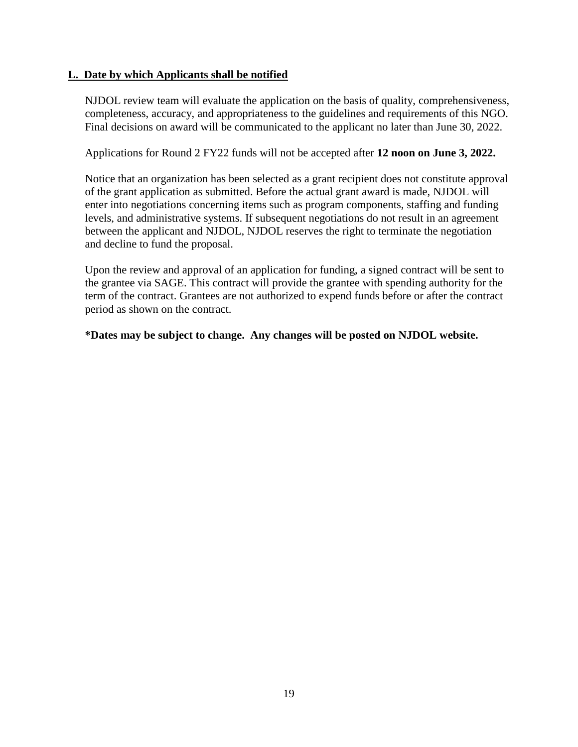#### **L. Date by which Applicants shall be notified**

NJDOL review team will evaluate the application on the basis of quality, comprehensiveness, completeness, accuracy, and appropriateness to the guidelines and requirements of this NGO. Final decisions on award will be communicated to the applicant no later than June 30, 2022.

Applications for Round 2 FY22 funds will not be accepted after **12 noon on June 3, 2022.**

Notice that an organization has been selected as a grant recipient does not constitute approval of the grant application as submitted. Before the actual grant award is made, NJDOL will enter into negotiations concerning items such as program components, staffing and funding levels, and administrative systems. If subsequent negotiations do not result in an agreement between the applicant and NJDOL, NJDOL reserves the right to terminate the negotiation and decline to fund the proposal.

Upon the review and approval of an application for funding, a signed contract will be sent to the grantee via SAGE. This contract will provide the grantee with spending authority for the term of the contract. Grantees are not authorized to expend funds before or after the contract period as shown on the contract.

**\*Dates may be subject to change. Any changes will be posted on NJDOL website.**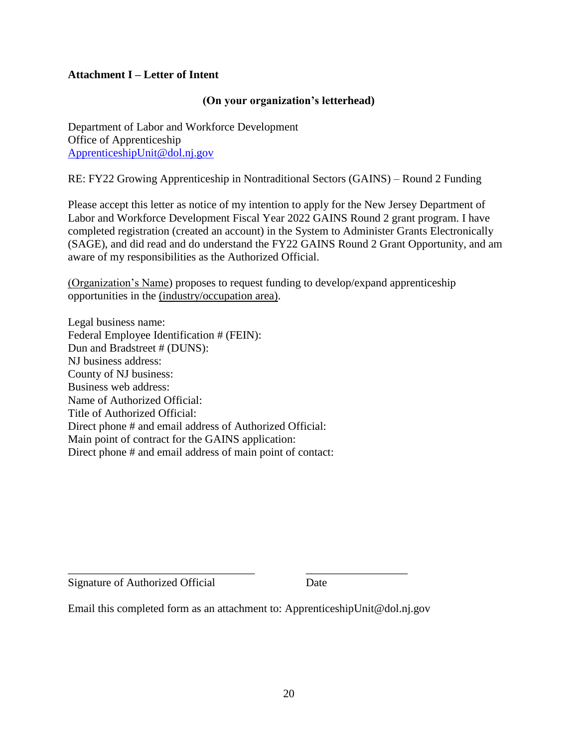#### **Attachment I – Letter of Intent**

#### **(On your organization's letterhead)**

Department of Labor and Workforce Development Office of Apprenticeship [ApprenticeshipUnit@dol.nj.gov](mailto:ApprenticeshipUnit@dol.nj.gov)

RE: FY22 Growing Apprenticeship in Nontraditional Sectors (GAINS) – Round 2 Funding

Please accept this letter as notice of my intention to apply for the New Jersey Department of Labor and Workforce Development Fiscal Year 2022 GAINS Round 2 grant program. I have completed registration (created an account) in the System to Administer Grants Electronically (SAGE), and did read and do understand the FY22 GAINS Round 2 Grant Opportunity, and am aware of my responsibilities as the Authorized Official.

(Organization's Name) proposes to request funding to develop/expand apprenticeship opportunities in the (industry/occupation area).

Legal business name: Federal Employee Identification # (FEIN): Dun and Bradstreet # (DUNS): NJ business address: County of NJ business: Business web address: Name of Authorized Official: Title of Authorized Official: Direct phone # and email address of Authorized Official: Main point of contract for the GAINS application: Direct phone # and email address of main point of contact:

Signature of Authorized Official Date

Email this completed form as an attachment to: ApprenticeshipUnit@dol.nj.gov

\_\_\_\_\_\_\_\_\_\_\_\_\_\_\_\_\_\_\_\_\_\_\_\_\_\_\_\_\_\_\_\_\_ \_\_\_\_\_\_\_\_\_\_\_\_\_\_\_\_\_\_